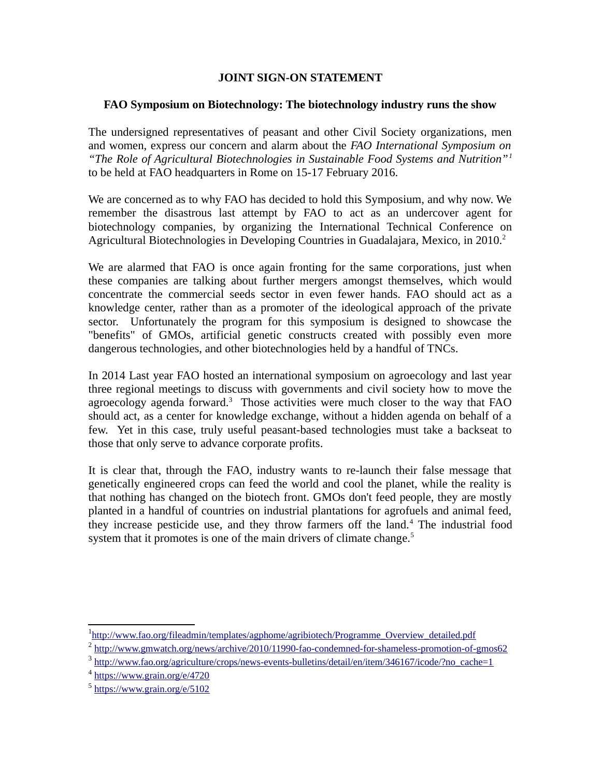## **JOINT SIGN-ON STATEMENT**

## **FAO Symposium on Biotechnology: The biotechnology industry runs the show**

The undersigned representatives of peasant and other Civil Society organizations, men and women, express our concern and alarm about the *FAO International Symposium on "The Role of Agricultural Biotechnologies in Sustainable Food Systems and Nutrition"[1](#page-0-0)* to be held at FAO headquarters in Rome on 15-17 February 2016.

We are concerned as to why FAO has decided to hold this Symposium, and why now. We remember the disastrous last attempt by FAO to act as an undercover agent for biotechnology companies, by organizing the International Technical Conference on Agricultural Biotechnologies in Developing Countries in Guadalajara, Mexico, in [2](#page-0-1)010.<sup>2</sup>

We are alarmed that FAO is once again fronting for the same corporations, just when these companies are talking about further mergers amongst themselves, which would concentrate the commercial seeds sector in even fewer hands. FAO should act as a knowledge center, rather than as a promoter of the ideological approach of the private sector. Unfortunately the program for this symposium is designed to showcase the "benefits" of GMOs, artificial genetic constructs created with possibly even more dangerous technologies, and other biotechnologies held by a handful of TNCs.

In 2014 Last year FAO hosted an international symposium on agroecology and last year three regional meetings to discuss with governments and civil society how to move the agroecology agenda forward. $3$  Those activities were much closer to the way that FAO should act, as a center for knowledge exchange, without a hidden agenda on behalf of a few. Yet in this case, truly useful peasant-based technologies must take a backseat to those that only serve to advance corporate profits.

It is clear that, through the FAO, industry wants to re-launch their false message that genetically engineered crops can feed the world and cool the planet, while the reality is that nothing has changed on the biotech front. GMOs don't feed people, they are mostly planted in a handful of countries on industrial plantations for agrofuels and animal feed, they increase pesticide use, and they throw farmers off the land.<sup>[4](#page-0-3)</sup> The industrial food system that it promotes is one of the main drivers of climate change.<sup>[5](#page-0-4)</sup>

<span id="page-0-0"></span><sup>&</sup>lt;sup>1</sup>http://www.fao.org/fileadmin/templates/agphome/agribiotech/Programme\_Overview\_detailed.pdf

<span id="page-0-1"></span><sup>&</sup>lt;sup>2</sup> <http://www.gmwatch.org/news/archive/2010/11990-fao-condemned-for-shameless-promotion-of-gmos62>

<span id="page-0-2"></span><sup>&</sup>lt;sup>3</sup> [http://www.fao.org/agriculture/crops/news-events-bulletins/detail/en/item/346167/icode/?no\\_cache=1](http://www.fao.org/agriculture/crops/news-events-bulletins/detail/en/item/346167/icode/?no_cache=1)

<span id="page-0-3"></span> $4 \frac{\text{https://www.grain.org/e/4720}}{$  $4 \frac{\text{https://www.grain.org/e/4720}}{$  $4 \frac{\text{https://www.grain.org/e/4720}}{$ 

<span id="page-0-4"></span><sup>&</sup>lt;sup>5</sup> <https://www.grain.org/e/5102>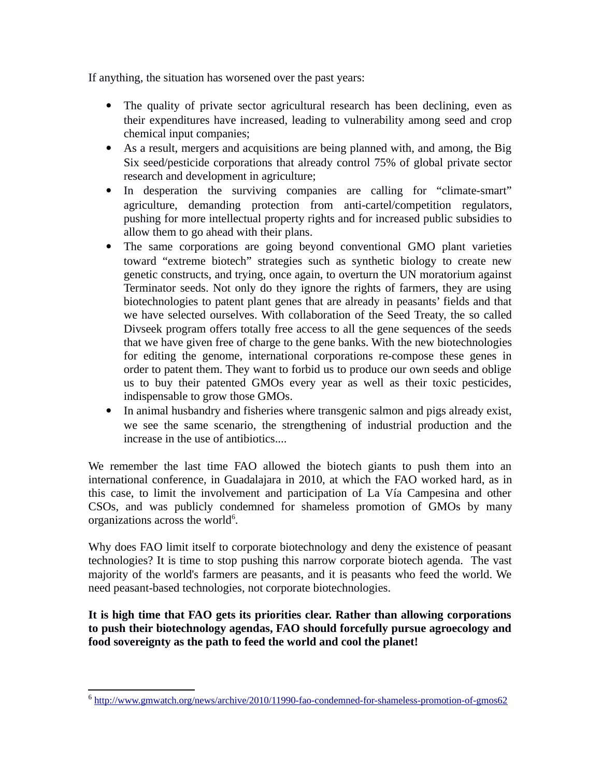If anything, the situation has worsened over the past years:

- The quality of private sector agricultural research has been declining, even as their expenditures have increased, leading to vulnerability among seed and crop chemical input companies;
- As a result, mergers and acquisitions are being planned with, and among, the Big Six seed/pesticide corporations that already control 75% of global private sector research and development in agriculture;
- In desperation the surviving companies are calling for "climate-smart" agriculture, demanding protection from anti-cartel/competition regulators, pushing for more intellectual property rights and for increased public subsidies to allow them to go ahead with their plans.
- The same corporations are going beyond conventional GMO plant varieties toward "extreme biotech" strategies such as synthetic biology to create new genetic constructs, and trying, once again, to overturn the UN moratorium against Terminator seeds. Not only do they ignore the rights of farmers, they are using biotechnologies to patent plant genes that are already in peasants' fields and that we have selected ourselves. With collaboration of the Seed Treaty, the so called Divseek program offers totally free access to all the gene sequences of the seeds that we have given free of charge to the gene banks. With the new biotechnologies for editing the genome, international corporations re-compose these genes in order to patent them. They want to forbid us to produce our own seeds and oblige us to buy their patented GMOs every year as well as their toxic pesticides, indispensable to grow those GMOs.
- In animal husbandry and fisheries where transgenic salmon and pigs already exist, we see the same scenario, the strengthening of industrial production and the increase in the use of antibiotics....

We remember the last time FAO allowed the biotech giants to push them into an international conference, in Guadalajara in 2010, at which the FAO worked hard, as in this case, to limit the involvement and participation of La Vía Campesina and other CSOs, and was publicly condemned for shameless promotion of GMOs by many organizations across the world $6$ .

Why does FAO limit itself to corporate biotechnology and deny the existence of peasant technologies? It is time to stop pushing this narrow corporate biotech agenda. The vast majority of the world's farmers are peasants, and it is peasants who feed the world. We need peasant-based technologies, not corporate biotechnologies.

**It is high time that FAO gets its priorities clear. Rather than allowing corporations to push their biotechnology agendas, FAO should forcefully pursue agroecology and food sovereignty as the path to feed the world and cool the planet!**

<span id="page-1-0"></span><sup>&</sup>lt;sup>6</sup> <http://www.gmwatch.org/news/archive/2010/11990-fao-condemned-for-shameless-promotion-of-gmos62>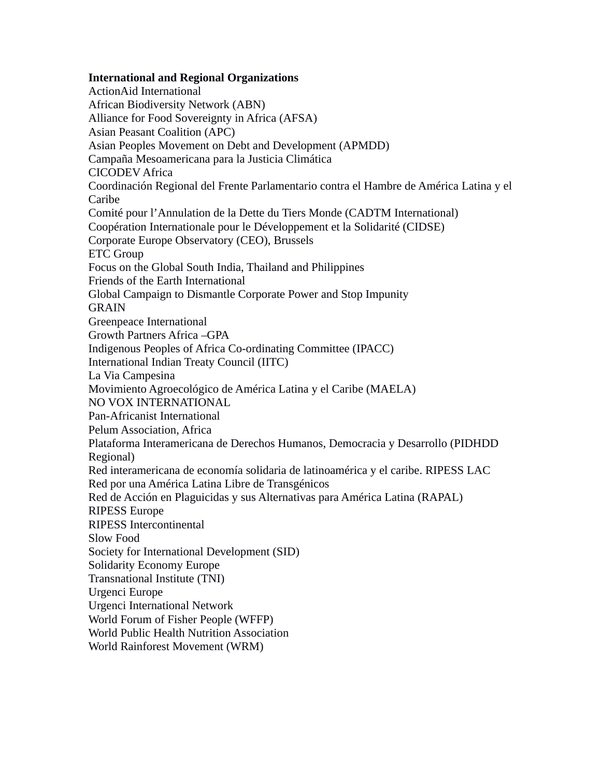## **International and Regional Organizations**

ActionAid International African Biodiversity Network (ABN) Alliance for Food Sovereignty in Africa (AFSA) Asian Peasant Coalition (APC) Asian Peoples Movement on Debt and Development (APMDD) Campaña Mesoamericana para la Justicia Climática CICODEV Africa Coordinación Regional del Frente Parlamentario contra el Hambre de América Latina y el Caribe Comité pour l'Annulation de la Dette du Tiers Monde (CADTM International) Coopération Internationale pour le Développement et la Solidarité (CIDSE) Corporate Europe Observatory (CEO), Brussels ETC Group Focus on the Global South India, Thailand and Philippines Friends of the Earth International Global Campaign to Dismantle Corporate Power and Stop Impunity GRAIN Greenpeace International Growth Partners Africa –GPA Indigenous Peoples of Africa Co-ordinating Committee (IPACC) International Indian Treaty Council (IITC) La Via Campesina Movimiento Agroecológico de América Latina y el Caribe (MAELA) NO VOX INTERNATIONAL Pan-Africanist International Pelum Association, Africa Plataforma Interamericana de Derechos Humanos, Democracia y Desarrollo (PIDHDD Regional) Red interamericana de economía solidaria de latinoamérica y el caribe. RIPESS LAC Red por una América Latina Libre de Transgénicos Red de Acción en Plaguicidas y sus Alternativas para América Latina (RAPAL) RIPESS Europe RIPESS Intercontinental Slow Food Society for International Development (SID) Solidarity Economy Europe Transnational Institute (TNI) Urgenci Europe Urgenci International Network World Forum of Fisher People (WFFP) World Public Health Nutrition Association World Rainforest Movement (WRM)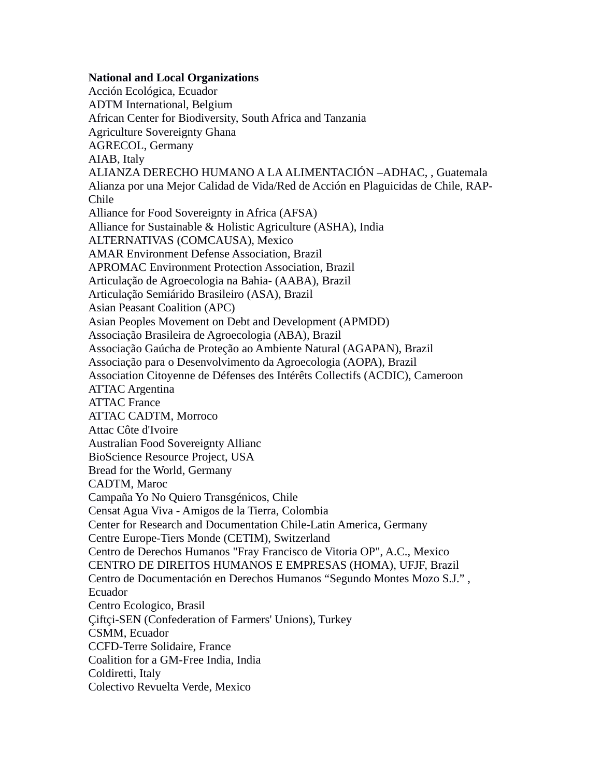## **National and Local Organizations**

Acción Ecológica, Ecuador ADTM International, Belgium African Center for Biodiversity, South Africa and Tanzania Agriculture Sovereignty Ghana AGRECOL, Germany AIAB, Italy ALIANZA DERECHO HUMANO A LA ALIMENTACIÓN –ADHAC, , Guatemala Alianza por una Mejor Calidad de Vida/Red de Acción en Plaguicidas de Chile, RAP-Chile Alliance for Food Sovereignty in Africa (AFSA) Alliance for Sustainable & Holistic Agriculture (ASHA), India ALTERNATIVAS (COMCAUSA), Mexico AMAR Environment Defense Association, Brazil APROMAC Environment Protection Association, Brazil Articulação de Agroecologia na Bahia- (AABA), Brazil Articulação Semiárido Brasileiro (ASA), Brazil Asian Peasant Coalition (APC) Asian Peoples Movement on Debt and Development (APMDD) Associação Brasileira de Agroecologia (ABA), Brazil Associação Gaúcha de Proteção ao Ambiente Natural (AGAPAN), Brazil Associação para o Desenvolvimento da Agroecologia (AOPA), Brazil Association Citoyenne de Défenses des Intérêts Collectifs (ACDIC), Cameroon ATTAC Argentina ATTAC France ATTAC CADTM, Morroco Attac Côte d'Ivoire Australian Food Sovereignty Allianc BioScience Resource Project, USA Bread for the World, Germany CADTM, Maroc Campaña Yo No Quiero Transgénicos, Chile Censat Agua Viva - Amigos de la Tierra, Colombia Center for Research and Documentation Chile-Latin America, Germany Centre Europe-Tiers Monde (CETIM), Switzerland Centro de Derechos Humanos "Fray Francisco de Vitoria OP", A.C., Mexico CENTRO DE DIREITOS HUMANOS E EMPRESAS (HOMA), UFJF, Brazil Centro de Documentación en Derechos Humanos "Segundo Montes Mozo S.J." , Ecuador Centro Ecologico, Brasil Çiftçi-SEN (Confederation of Farmers' Unions), Turkey CSMM, Ecuador CCFD-Terre Solidaire, France Coalition for a GM-Free India, India Coldiretti, Italy Colectivo Revuelta Verde, Mexico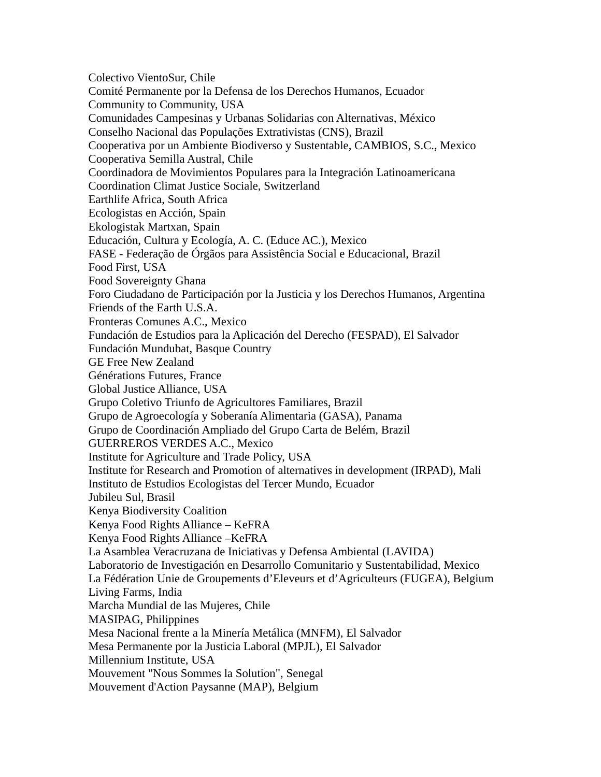Colectivo VientoSur, Chile Comité Permanente por la Defensa de los Derechos Humanos, Ecuador Community to Community, USA Comunidades Campesinas y Urbanas Solidarias con Alternativas, México Conselho Nacional das Populações Extrativistas (CNS), Brazil Cooperativa por un Ambiente Biodiverso y Sustentable, CAMBIOS, S.C., Mexico Cooperativa Semilla Austral, Chile Coordinadora de Movimientos Populares para la Integración Latinoamericana Coordination Climat Justice Sociale, Switzerland Earthlife Africa, South Africa Ecologistas en Acción, Spain Ekologistak Martxan, Spain Educación, Cultura y Ecología, A. C. (Educe AC.), Mexico FASE - Federação de Órgãos para Assistência Social e Educacional, Brazil Food First, USA Food Sovereignty Ghana Foro Ciudadano de Participación por la Justicia y los Derechos Humanos, Argentina Friends of the Earth U.S.A. Fronteras Comunes A.C., Mexico Fundación de Estudios para la Aplicación del Derecho (FESPAD), El Salvador Fundación Mundubat, Basque Country GE Free New Zealand Générations Futures, France Global Justice Alliance, USA Grupo Coletivo Triunfo de Agricultores Familiares, Brazil Grupo de Agroecología y Soberanía Alimentaria (GASA), Panama Grupo de Coordinación Ampliado del Grupo Carta de Belém, Brazil GUERREROS VERDES A.C., Mexico Institute for Agriculture and Trade Policy, USA Institute for Research and Promotion of alternatives in development (IRPAD), Mali Instituto de Estudios Ecologistas del Tercer Mundo, Ecuador Jubileu Sul, Brasil Kenya Biodiversity Coalition Kenya Food Rights Alliance – KeFRA Kenya Food Rights Alliance –KeFRA La Asamblea Veracruzana de Iniciativas y Defensa Ambiental (LAVIDA) Laboratorio de Investigación en Desarrollo Comunitario y Sustentabilidad, Mexico La Fédération Unie de Groupements d'Eleveurs et d'Agriculteurs (FUGEA), Belgium Living Farms, India Marcha Mundial de las Mujeres, Chile MASIPAG, Philippines Mesa Nacional frente a la Minería Metálica (MNFM), El Salvador Mesa Permanente por la Justicia Laboral (MPJL), El Salvador Millennium Institute, USA Mouvement "Nous Sommes la Solution", Senegal Mouvement d'Action Paysanne (MAP), Belgium